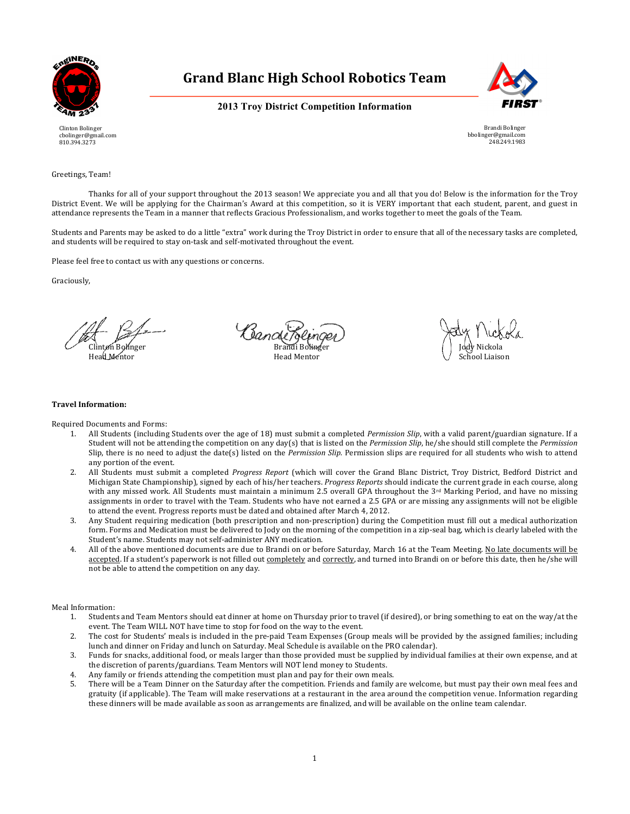



**2013 Troy District Competition Information**

Clinton Bolinger cbolinger@gmail.com 810.394.3273



Greetings, Team!

Thanks for all of your support throughout the 2013 season! We appreciate you and all that you do! Below is the information for the Troy District Event. We will be applying for the Chairman's Award at this competition, so it is VERY important that each student, parent, and guest in attendance represents the Team in a manner that reflects Gracious Professionalism, and works together to meet the goals of the Team.

Students and Parents may be asked to do a little "extra" work during the Troy District in order to ensure that all of the necessary tasks are completed, and students will be required to stay on-task and self-motivated throughout the event.

Please feel free to contact us with any questions or concerns.

Graciously,

Cande Clinton Bolinger Brandi Bolinger Jody Nickola Head Mentor Network (School Liaison Network Head Mentor Network School Liaison Network School Liaison

#### **Travel Information:**

Required Documents and Forms:

- All Students (including Students over the age of 18) must submit a completed *Permission Slip*, with a valid parent/guardian signature. If a Student will not be attending the competition on any day(s) that is listed on the *Permission Slip*, he/she should still complete the *Permission* Slip, there is no need to adjust the date(s) listed on the *Permission Slip.* Permission slips are required for all students who wish to attend any portion of the event.
- 2. All Students must submit a completed *Progress Report* (which will cover the Grand Blanc District, Troy District, Bedford District and Michigan State Championship), signed by each of his/her teachers. *Progress Reports* should indicate the current grade in each course, along with any missed work. All Students must maintain a minimum 2.5 overall GPA throughout the  $3<sup>rd</sup>$  Marking Period, and have no missing assignments in order to travel with the Team. Students who have not earned a 2.5 GPA or are missing any assignments will not be eligible to attend the event. Progress reports must be dated and obtained after March 4, 2012.
- 3. Any Student requiring medication (both prescription and non-prescription) during the Competition must fill out a medical authorization form. Forms and Medication must be delivered to Jody on the morning of the competition in a zip-seal bag, which is clearly labeled with the Student's name. Students may not self-administer ANY medication.
- 4. All of the above mentioned documents are due to Brandi on or before Saturday, March 16 at the Team Meeting. No late documents will be accepted. If a student's paperwork is not filled out completely and correctly, and turned into Brandi on or before this date, then he/she will not be able to attend the competition on any day.

Meal Information:

- 1. Students and Team Mentors should eat dinner at home on Thursday prior to travel (if desired), or bring something to eat on the way/at the event. The Team WILL NOT have time to stop for food on the way to the event.
- 2. The cost for Students' meals is included in the pre-paid Team Expenses (Group meals will be provided by the assigned families; including lunch and dinner on Friday and lunch on Saturday. Meal Schedule is available on the PRO calendar).
- 3. Funds for snacks, additional food, or meals larger than those provided must be supplied by individual families at their own expense, and at the discretion of parents/guardians. Team Mentors will NOT lend money to Students.
- 4. Any family or friends attending the competition must plan and pay for their own meals.
- 5. There will be a Team Dinner on the Saturday after the competition. Friends and family are welcome, but must pay their own meal fees and gratuity (if applicable). The Team will make reservations at a restaurant in the area around the competition venue. Information regarding these dinners will be made available as soon as arrangements are finalized, and will be available on the online team calendar.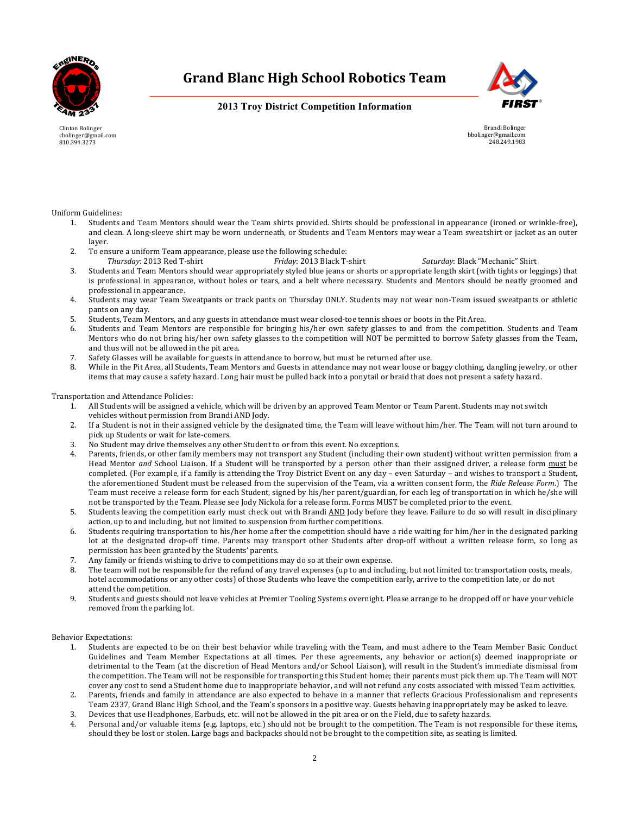



**2013 Troy District Competition Information**

Clinton Bolinger cbolinger@gmail.com 810.394.3273

Brandi Bolinger bbolinger@gmail.com 248.249.1983

#### Uniform Guidelines:

- Students and Team Mentors should wear the Team shirts provided. Shirts should be professional in appearance (ironed or wrinkle-free), and clean. A long-sleeve shirt may be worn underneath, or Students and Team Mentors may wear a Team sweatshirt or jacket as an outer layer.
- 2. To ensure a uniform Team appearance, please use the following schedule:
	- *Thursday*: 2013 Red T-shirt *Friday*: 2013 Black T-shirt *Saturday*: Black "Mechanic" Shirt
- 3. Students and Team Mentors should wear appropriately styled blue jeans or shorts or appropriate length skirt (with tights or leggings) that is professional in appearance, without holes or tears, and a belt where necessary. Students and Mentors should be neatly groomed and professional in appearance.
- 4. Students may wear Team Sweatpants or track pants on Thursday ONLY. Students may not wear non-Team issued sweatpants or athletic pants on any day.
- 5. Students, Team Mentors, and any guests in attendance must wear closed-toe tennis shoes or boots in the Pit Area.
- 6. Students and Team Mentors are responsible for bringing his/her own safety glasses to and from the competition. Students and Team Mentors who do not bring his/her own safety glasses to the competition will NOT be permitted to borrow Safety glasses from the Team, and thus will not be allowed in the pit area.
- 7. Safety Glasses will be available for guests in attendance to borrow, but must be returned after use.
- 8. While in the Pit Area, all Students, Team Mentors and Guests in attendance may not wear loose or baggy clothing, dangling jewelry, or other items that may cause a safety hazard. Long hair must be pulled back into a ponytail or braid that does not present a safety hazard.

#### Transportation and Attendance Policies:

- 1. All Students will be assigned a vehicle, which will be driven by an approved Team Mentor or Team Parent. Students may not switch vehicles without permission from Brandi AND Jody.
- 2. If a Student is not in their assigned vehicle by the designated time, the Team will leave without him/her. The Team will not turn around to pick up Students or wait for late-comers.
- 3. No Student may drive themselves any other Student to or from this event. No exceptions.
- 4. Parents, friends, or other family members may not transport any Student (including their own student) without written permission from a Head Mentor and School Liaison. If a Student will be transported by a person other than their assigned driver, a release form must be completed. (For example, if a family is attending the Troy District Event on any day - even Saturday - and wishes to transport a Student, the aforementioned Student must be released from the supervision of the Team, via a written consent form, the *Ride Release Form*.) The Team must receive a release form for each Student, signed by his/her parent/guardian, for each leg of transportation in which he/she will not be transported by the Team. Please see Jody Nickola for a release form. Forms MUST be completed prior to the event.
- 5. Students leaving the competition early must check out with Brandi AND Jody before they leave. Failure to do so will result in disciplinary action, up to and including, but not limited to suspension from further competitions.
- 6. Students requiring transportation to his/her home after the competition should have a ride waiting for him/her in the designated parking lot at the designated drop-off time. Parents may transport other Students after drop-off without a written release form, so long as permission has been granted by the Students' parents.
- 7. Any family or friends wishing to drive to competitions may do so at their own expense.
- 8. The team will not be responsible for the refund of any travel expenses (up to and including, but not limited to: transportation costs, meals, hotel accommodations or any other costs) of those Students who leave the competition early, arrive to the competition late, or do not attend the competition.
- 9. Students and guests should not leave vehicles at Premier Tooling Systems overnight. Please arrange to be dropped off or have your vehicle removed from the parking lot.

#### Behavior Expectations:

- 1. Students are expected to be on their best behavior while traveling with the Team, and must adhere to the Team Member Basic Conduct Guidelines and Team Member Expectations at all times. Per these agreements, any behavior or action(s) deemed inappropriate or detrimental to the Team (at the discretion of Head Mentors and/or School Liaison), will result in the Student's immediate dismissal from the competition. The Team will not be responsible for transporting this Student home; their parents must pick them up. The Team will NOT cover any cost to send a Student home due to inappropriate behavior, and will not refund any costs associated with missed Team activities.
- 2. Parents, friends and family in attendance are also expected to behave in a manner that reflects Gracious Professionalism and represents Team 2337, Grand Blanc High School, and the Team's sponsors in a positive way. Guests behaving inappropriately may be asked to leave.
- 3. Devices that use Headphones, Earbuds, etc. will not be allowed in the pit area or on the Field, due to safety hazards.
- Personal and/or valuable items (e.g. laptops, etc.) should not be brought to the competition. The Team is not responsible for these items, should they be lost or stolen. Large bags and backpacks should not be brought to the competition site, as seating is limited.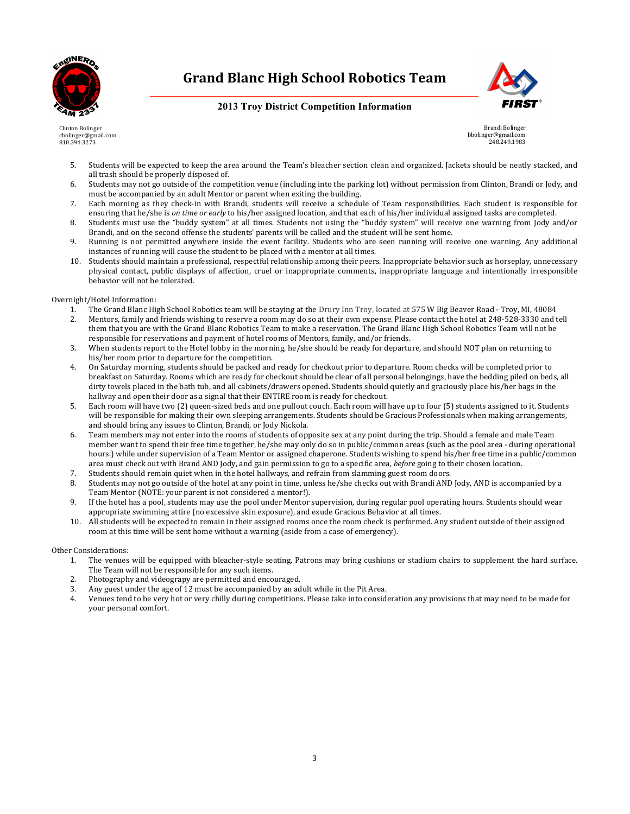

### **2013 Troy District Competition Information**





Brandi Bolinger bbolinger@gmail.com 248.249.1983

- 5. Students will be expected to keep the area around the Team's bleacher section clean and organized. Jackets should be neatly stacked, and all trash should be properly disposed of.
- 6. Students may not go outside of the competition venue (including into the parking lot) without permission from Clinton, Brandi or Jody, and must be accompanied by an adult Mentor or parent when exiting the building.
- 7. Each morning as they check-in with Brandi, students will receive a schedule of Team responsibilities. Each student is responsible for ensuring that he/she is *on time or early* to his/her assigned location, and that each of his/her individual assigned tasks are completed.
- 8. Students must use the "buddy system" at all times. Students not using the "buddy system" will receive one warning from Jody and/or Brandi, and on the second offense the students' parents will be called and the student will be sent home.
- 9. Running is not permitted anywhere inside the event facility. Students who are seen running will receive one warning. Any additional instances of running will cause the student to be placed with a mentor at all times.
- 10. Students should maintain a professional, respectful relationship among their peers. Inappropriate behavior such as horseplay, unnecessary physical contact, public displays of affection, cruel or inappropriate comments, inappropriate language and intentionally irresponsible behavior will not be tolerated.

Overnight/Hotel Information:

- 1. The Grand Blanc High School Robotics team will be staying at the Drury Inn Troy, located at 575 W Big Beaver Road Troy, MI, 48084
- 2. Mentors, family and friends wishing to reserve a room may do so at their own expense. Please contact the hotel at 248-528-3330 and tell them that you are with the Grand Blanc Robotics Team to make a reservation. The Grand Blanc High School Robotics Team will not be responsible for reservations and payment of hotel rooms of Mentors, family, and/or friends.
- 3. When students report to the Hotel lobby in the morning, he/she should be ready for departure, and should NOT plan on returning to his/her room prior to departure for the competition.
- 4. On Saturday morning, students should be packed and ready for checkout prior to departure. Room checks will be completed prior to breakfast on Saturday. Rooms which are ready for checkout should be clear of all personal belongings, have the bedding piled on beds, all dirty towels placed in the bath tub, and all cabinets/drawers opened. Students should quietly and graciously place his/her bags in the hallway and open their door as a signal that their ENTIRE room is ready for checkout.
- 5. Each room will have two (2) queen-sized beds and one pullout couch. Each room will have up to four (5) students assigned to it. Students will be responsible for making their own sleeping arrangements. Students should be Gracious Professionals when making arrangements, and should bring any issues to Clinton, Brandi, or Jody Nickola.
- 6. Team members may not enter into the rooms of students of opposite sex at any point during the trip. Should a female and male Team member want to spend their free time together, he/she may only do so in public/common areas (such as the pool area - during operational hours.) while under supervision of a Team Mentor or assigned chaperone. Students wishing to spend his/her free time in a public/common area must check out with Brand AND Jody, and gain permission to go to a specific area, *before* going to their chosen location.
- 7. Students should remain quiet when in the hotel hallways, and refrain from slamming guest room doors.
- 8. Students may not go outside of the hotel at any point in time, unless he/she checks out with Brandi AND Jody, AND is accompanied by a Team Mentor (NOTE: your parent is not considered a mentor!).
- 9. If the hotel has a pool, students may use the pool under Mentor supervision, during regular pool operating hours. Students should wear appropriate swimming attire (no excessive skin exposure), and exude Gracious Behavior at all times.
- 10. All students will be expected to remain in their assigned rooms once the room check is performed. Any student outside of their assigned room at this time will be sent home without a warning (aside from a case of emergency).

#### Other Considerations:

- 1. The venues will be equipped with bleacher-style seating. Patrons may bring cushions or stadium chairs to supplement the hard surface. The Team will not be responsible for any such items.
- 2. Photography and videograpy are permitted and encouraged.
- 3. Any guest under the age of 12 must be accompanied by an adult while in the Pit Area.
- 4. Venues tend to be very hot or very chilly during competitions. Please take into consideration any provisions that may need to be made for your personal comfort.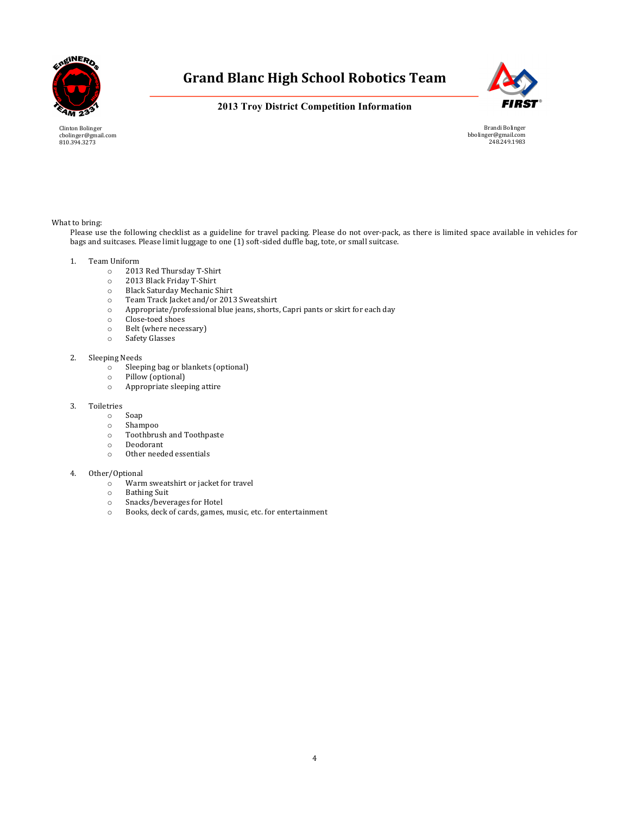



### **2013 Troy District Competition Information**

Clinton Bolinger cbolinger@gmail.com 810.394.3273

Brandi Bolinger bbolinger@gmail.com 248.249.1983

#### What to bring:

Please use the following checklist as a guideline for travel packing. Please do not over-pack, as there is limited space available in vehicles for bags and suitcases. Please limit luggage to one (1) soft-sided duffle bag, tote, or small suitcase.

#### 1. Team Uniform

- o 2013 Red Thursday T-Shirt
- o 2013 Black Friday T-Shirt
- o Black Saturday Mechanic Shirt
- $\circ$  Team Track Jacket and/or 2013 Sweatshirt  $\circ$  Appropriate/professional blue jeans, shorts
- Appropriate/professional blue jeans, shorts, Capri pants or skirt for each day
- o Close-toed shoes
- o Belt (where necessary)
- o Safety Glasses

#### 2. Sleeping Needs

- o Sleeping bag or blankets (optional)
- o Pillow (optional)
- $\circ$  Appropriate sleeping attire
- 3. Toiletries
	- o Soap
	- o Shampoo
	- $\circ$  Toothbrush and Toothpaste
	- o Deodorant
	- o Other needed essentials

#### 4. Other/Optional

- o Warm sweatshirt or jacket for travel
- o Bathing Suit<br>
o Snacks/beve
- Snacks/beverages for Hotel
- o Books, deck of cards, games, music, etc. for entertainment